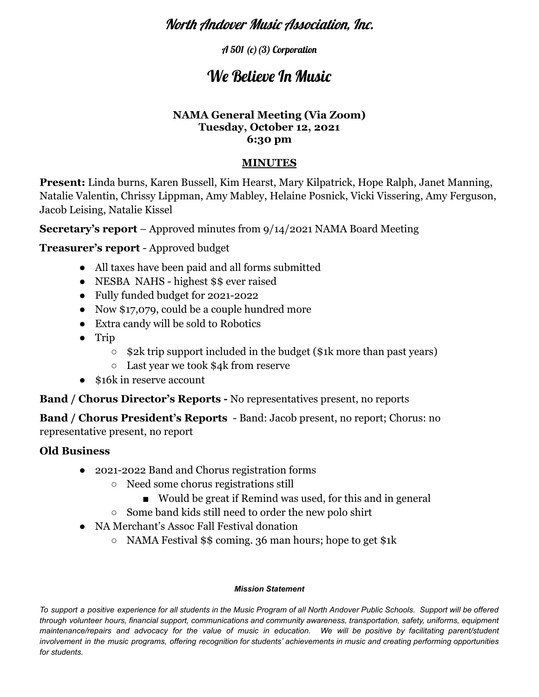## North Andover Music Association, Inc.

A 501 (c)(3) Corporation

# We Believe In Music

#### **NAMA General Meeting (Via Zoom) Tuesday, October 12, 2021 6:30 pm**

### **MINUTES**

**Present:** Linda burns, Karen Bussell, Kim Hearst, Mary Kilpatrick, Hope Ralph, Janet Manning, Natalie Valentin, Chrissy Lippman, Amy Mabley, Helaine Posnick, Vicki Vissering, Amy Ferguson, Jacob Leising, Natalie Kissel

**Secretary's report** – Approved minutes from 9/14/2021 NAMA Board Meeting

**Treasurer's report** - Approved budget

- All taxes have been paid and all forms submitted
- NESBA NAHS highest \$\$ ever raised
- Fully funded budget for 2021-2022
- Now \$17,079, could be a couple hundred more
- Extra candy will be sold to Robotics
- Trip
	- $\circ$  \$2k trip support included in the budget (\$1k more than past years)
	- Last year we took \$4k from reserve
- \$16k in reserve account

**Band / Chorus Director's Reports -** No representatives present, no reports

**Band / Chorus President's Reports** - Band: Jacob present, no report; Chorus: no representative present, no report

## **Old Business**

- 2021-2022 Band and Chorus registration forms
	- Need some chorus registrations still
		- Would be great if Remind was used, for this and in general
	- Some band kids still need to order the new polo shirt
- NA Merchant's Assoc Fall Festival donation
	- NAMA Festival \$\$ coming. 36 man hours; hope to get \$1k

#### *Mission Statement*

To support a positive experience for all students in the Music Program of all North Andover Public Schools. Support will be offered *through volunteer hours, financial support, communications and community awareness, transportation, safety, uniforms, equipment* maintenance/repairs and advocacy for the value of music in education. We will be positive by facilitating parent/student involvement in the music programs, offering recognition for students' achievements in music and creating performing opportunities *for students.*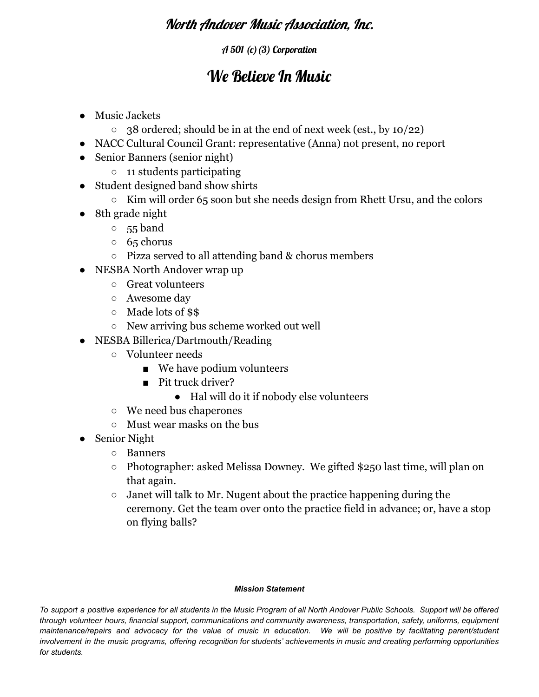# North Andover Music Association, Inc.

### A 501 (c)(3) Corporation

# We Believe In Music

- Music Jackets
	- $\circ$  38 ordered; should be in at the end of next week (est., by 10/22)
- NACC Cultural Council Grant: representative (Anna) not present, no report
- Senior Banners (senior night)
	- 11 students participating
- Student designed band show shirts
	- Kim will order 65 soon but she needs design from Rhett Ursu, and the colors
- 8th grade night
	- 55 band
	- 65 chorus
	- Pizza served to all attending band & chorus members
- NESBA North Andover wrap up
	- Great volunteers
	- Awesome day
	- Made lots of \$\$
	- New arriving bus scheme worked out well
- NESBA Billerica/Dartmouth/Reading
	- Volunteer needs
		- We have podium volunteers
		- Pit truck driver?
			- Hal will do it if nobody else volunteers
	- We need bus chaperones
	- Must wear masks on the bus
- Senior Night
	- Banners
	- Photographer: asked Melissa Downey. We gifted \$250 last time, will plan on that again.
	- $\circ$  Janet will talk to Mr. Nugent about the practice happening during the ceremony. Get the team over onto the practice field in advance; or, have a stop on flying balls?

#### *Mission Statement*

To support a positive experience for all students in the Music Program of all North Andover Public Schools. Support will be offered *through volunteer hours, financial support, communications and community awareness, transportation, safety, uniforms, equipment* maintenance/repairs and advocacy for the value of music in education. We will be positive by facilitating parent/student involvement in the music programs, offering recognition for students' achievements in music and creating performing opportunities *for students.*